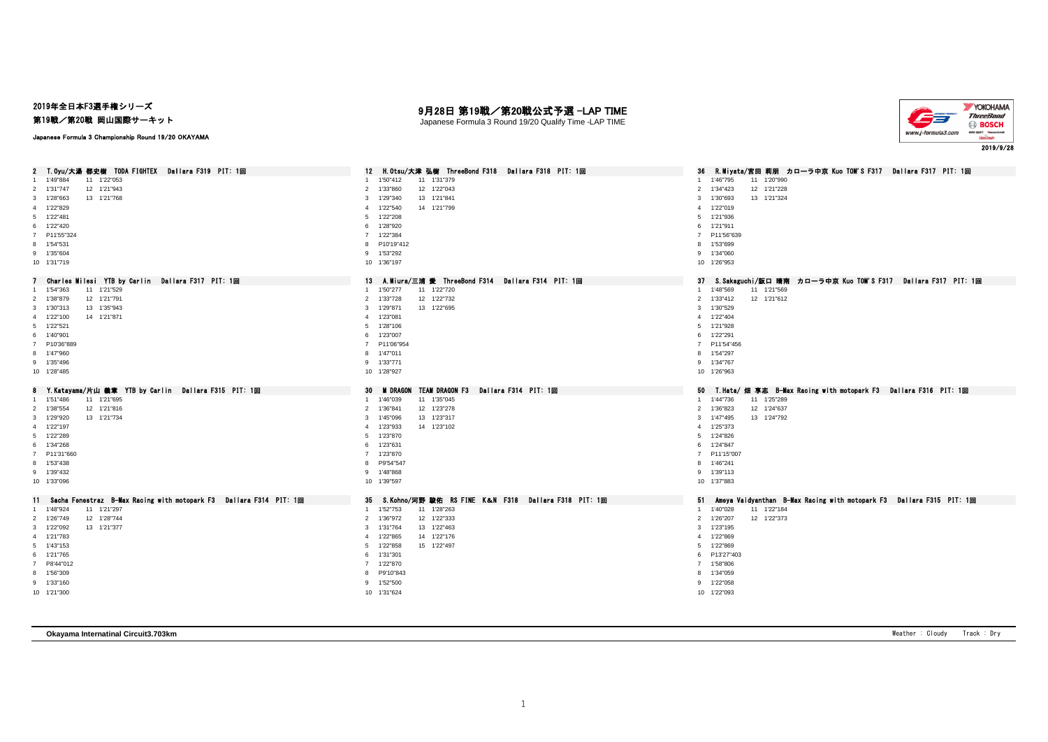# 2019年全日本F3選手権シリーズ

第19戦/第20戦 岡山国際サーキット

Japanese Formula 3 Championship Round 19/20 OKAYAMA

# 月28日 第19戦/第20戦公式予選 -LAP TIME

Japanese Formula 3 Round 19/20 Qualify Time -LAP TIME



| 2 T. Oyu/大湯 都史樹 TODA FIGHTEX Dallara F319 PIT: 1回                     | H.Otsu/大津 弘樹 ThreeBond F318 Dallara F318 PIT: 1回<br>12 <sup>2</sup> | 36 R.Miyata/宮田 莉朋 カローラ中京 Kuo TOM'S F317 Dallara F317 PIT: 1回               |
|-----------------------------------------------------------------------|---------------------------------------------------------------------|----------------------------------------------------------------------------|
| 11 1'22"053<br>1 1'49"884                                             | 1'50"412<br>11 1'31"379<br>$\mathbf{1}$                             | 11 1'20"990<br>1 1'46"795                                                  |
| 12 1'21"943<br>2 1'31"747                                             | 12 1'22"043<br>2<br>1'33"860                                        | 2 1'34"423<br>12 1'21"228                                                  |
| 3 1'28"663<br>13 1'21"768                                             | 13 1'21"841<br>1'29"340<br>3                                        | 1'30"693<br>13 1'21"324<br>3                                               |
| 4 1'22"829                                                            | 1'22"540<br>14 1'21"799<br>$\overline{4}$                           | 4 1'22"019                                                                 |
| 5 1'22"481                                                            | 1'22"208<br>5                                                       | 5 1'21"936                                                                 |
| 6 1'22"420                                                            | 1'28"920<br>6                                                       | 6 1'21"911                                                                 |
| 7 P11'55"324                                                          | 7 1'22"384                                                          | 7 P11'56"639                                                               |
| 8 1'54"531                                                            | P10'19"412<br><b>R</b>                                              | 8 1'53"699                                                                 |
| 9 1'35"604                                                            | 9 1'53"292                                                          | 9 1'34"060                                                                 |
| 10 1'31"719                                                           | 10 1'36"197                                                         | 10 1'26"953                                                                |
| Charles Milesi YTB by Carlin Dallara F317 PIT: 1回                     | 13<br>A.Miura/三浦 愛 ThreeBond F314 Dallara F314 PIT: 1回              | 37 S.Sakaguchi/阪口 晴南 カローラ中京 Kuo TOM'S F317 Dallara F317 PIT: 1回            |
| 11 1'21"529<br>1 1'54"363                                             | 11 1'22"720<br>1'50"277<br>$\mathbf{1}$                             | 1 1'48"569<br>11 1'21"569                                                  |
| 12 1'21"791<br>2 1'38"879                                             | 12 1'22"732<br>$\overline{2}$<br>1'33"728                           | 2 1'33"412<br>12 1'21"612                                                  |
| 13 1'35"943<br>3 1'30"313                                             | 1'29"871<br>13 1'22"695<br>3                                        | 3 1'30"529                                                                 |
| 4 1'22"100<br>14 1'21"871                                             | 4 1'23"081                                                          | 4 1'22"404                                                                 |
| 5 1'22"521                                                            | 5 1'28"106                                                          | 5 1'21"928                                                                 |
| 6 1'40"901                                                            | 1'23"007<br>6                                                       | 6 1'22"291                                                                 |
| 7 P10'36"889                                                          | 7 P11'06"954                                                        | 7 P11'54"456                                                               |
| 8 1'47"960                                                            | 8 1'47"011                                                          | 8 1'54"297                                                                 |
| 9 1'35"496                                                            | 9 1'33"771                                                          | 9 1'34"767                                                                 |
| 10 1'28"485                                                           | 10 1'28"927                                                         | 10 1'26"963                                                                |
|                                                                       |                                                                     |                                                                            |
| Y.Katayama/片山 義章 YTB by Carlin _ Dallara F315 PIT: 1回<br>8            | M DRAGON TEAM DRAGON F3 Dallara F314 PIT: 1回<br>30                  | 50 T.Hata/畑 享志 B-Max Racing with motopark F3 Dallara F316 PIT: 1回          |
| 1'51"486<br>11 1'21"695<br>$\mathbf{1}$                               | 1'46"039<br>11 1'35"045<br>$\overline{1}$                           | 1 1'44"736<br>11 1'25"289                                                  |
| 12 1'21"816<br>2 1'38"554                                             | 12 1'23"278<br>2<br>1'36"841                                        | 12 1'24"637<br>2 1'36"823                                                  |
| 13 1'21"734<br>3 1'29"920                                             | 13 1'23"317<br>3<br>1'45"096                                        | 3 1'47"495<br>13 1'24"792                                                  |
| 4 1'22"197                                                            | 14 1'23"102<br>1'23"933<br>$\overline{4}$                           | 4 1'25"373                                                                 |
| 5 1'22"289                                                            | 1'23"870<br>5                                                       | 5 1'24"826                                                                 |
| 6 1'34"268                                                            | 1'23"631<br>6                                                       | 6 1'24"847                                                                 |
| 7 P11'31"660                                                          | 7 1'23"870                                                          | 7 P11'15"007                                                               |
| 8 1'53"438                                                            | P9'54"547<br>8                                                      | 8 1'46"241                                                                 |
| 9 1'39"432                                                            | 9 1'48"868                                                          | 9 1'39"113                                                                 |
| 10 1'33"096                                                           | 10 1'39"597                                                         | 10 1'37"883                                                                |
| 11 Sacha Fenestraz B-Max Racing with motopark F3 Dallara F314 PIT: 1回 | S.Kohno/河野 駿佑 RS FINE K&N F318 Dallara F318 PIT: 1回<br>35           | Ameya Vaidyanthan B-Max Racing with motopark F3 Dallara F315 PIT: 1回<br>51 |
| 11 1'21"297<br>1 1'48"924                                             | 11 1'28"263<br>1'52"753<br>$\overline{1}$                           | 11 1'22"184<br>1 1'40"028                                                  |
| 12 1'28"744<br>2 1'26"749                                             | 12 1'22"333<br>2 1'36"972                                           | 2 1'26"207<br>12 1'22"373                                                  |
| 3 1'22"092<br>13 1'21"377                                             | 13 1'22"463<br>3<br>1'31"764                                        | 3 1'23"195                                                                 |
| 4 1'21"783                                                            | 14 1'22"176<br>1'22"865<br>$\overline{4}$                           | 4 1'22"869                                                                 |
| 5 1'43"153                                                            | 1'22"858<br>15 1'22"497<br>5                                        | 5 1'22"869                                                                 |
| 6 1'21"765                                                            | 6 1'31"301                                                          | 6 P13'27"403                                                               |
| 7 P8'44"012                                                           | 7 1'22"870                                                          | 7 1'58"806                                                                 |
| 8 1'56"309                                                            | P9'10"843<br>8                                                      | 8 1'34"059                                                                 |
| 9 1'33"160<br>10 1'21"300                                             | 9 1'52"500<br>10 1'31"624                                           | 9 1'22"058<br>10 1'22"093                                                  |

**Okayama Internatinal Circuit3.703km** Weather : Cloudy Track : Dry